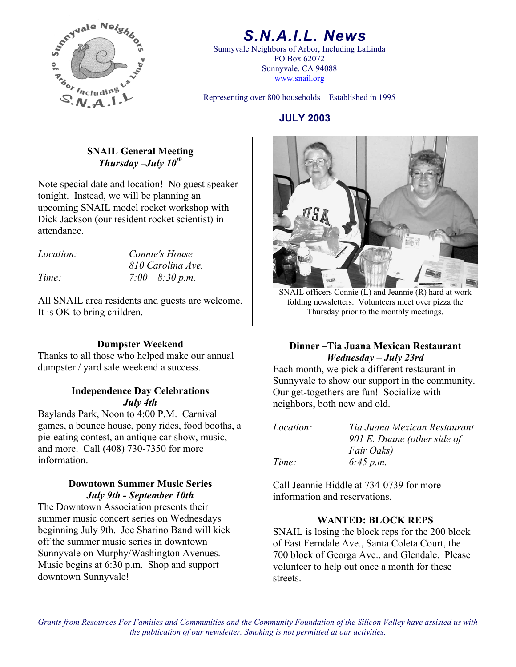

# *S.N.A.I.L. News*

Sunnyvale Neighbors of Arbor, Including LaLinda PO Box 62072 Sunnyvale, CA 94088 www.snail.org

Representing over 800 households Established in 1995

### **JULY 2003**

#### **SNAIL General Meeting**  *Thursday –July 10th*

Note special date and location! No guest speaker tonight. Instead, we will be planning an upcoming SNAIL model rocket workshop with Dick Jackson (our resident rocket scientist) in attendance.

*Location: Connie's House 810 Carolina Ave. Time: 7:00 – 8:30 p.m.* 

All SNAIL area residents and guests are welcome. It is OK to bring children.

Thanks to all those who helped make our annual dumpster / yard sale weekend a success.

#### **Independence Day Celebrations**  *July 4th*

Baylands Park, Noon to 4:00 P.M. Carnival games, a bounce house, pony rides, food booths, a pie-eating contest, an antique car show, music, and more. Call (408) 730-7350 for more information.

The Downtown Association presents their summer music concert series on Wednesdays beginning July 9th. Joe Sharino Band will kick off the summer music series in downtown Sunnyvale on Murphy/Washington Avenues. Music begins at 6:30 p.m. Shop and support downtown Sunnyvale!



SNAIL officers Connie (L) and Jeannie (R) hard at work folding newsletters. Volunteers meet over pizza the Thursday prior to the monthly meetings.

### **Dumpster Weekend Dinner –Tia Juana Mexican Restaurant**  *Wednesday – July 23rd*

Each month, we pick a different restaurant in Sunnyvale to show our support in the community. Our get-togethers are fun! Socialize with neighbors, both new and old.

| <i>Location:</i> | Tia Juana Mexican Restaurant |
|------------------|------------------------------|
|                  | 901 E. Duane (other side of  |
|                  | Fair Oaks)                   |
| Time:            | 6:45 p.m.                    |

**Downtown Summer Music Series** Call Jeannie Biddle at 734-0739 for more<br>*July 9th - September 10th* information and reservations information and reservations.

#### **WANTED: BLOCK REPS**

SNAIL is losing the block reps for the 200 block of East Ferndale Ave., Santa Coleta Court, the 700 block of Georga Ave., and Glendale. Please volunteer to help out once a month for these streets.

*Grants from Resources For Families and Communities and the Community Foundation of the Silicon Valley have assisted us with the publication of our newsletter. Smoking is not permitted at our activities.*